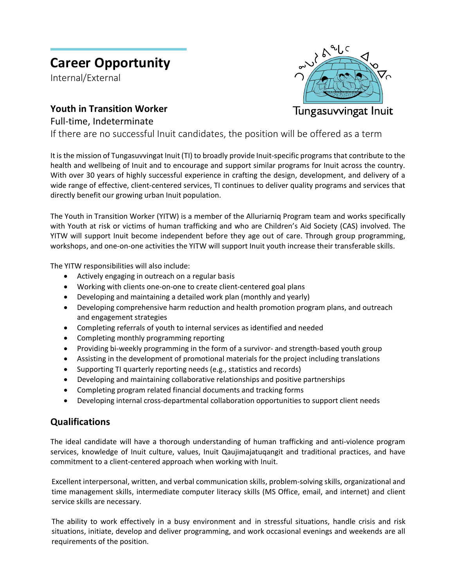# **Career Opportunity**

Internal/External

## **Youth in Transition Worker**

Tungasuvvingat Inuit

Full-time, Indeterminate

If there are no successful Inuit candidates, the position will be offered as a term

It is the mission of Tungasuvvingat Inuit (TI) to broadly provide Inuit-specific programs that contribute to the health and wellbeing of Inuit and to encourage and support similar programs for Inuit across the country. With over 30 years of highly successful experience in crafting the design, development, and delivery of a wide range of effective, client-centered services, TI continues to deliver quality programs and services that directly benefit our growing urban Inuit population.

The Youth in Transition Worker (YITW) is a member of the Alluriarniq Program team and works specifically with Youth at risk or victims of human trafficking and who are Children's Aid Society (CAS) involved. The YITW will support Inuit become independent before they age out of care. Through group programming, workshops, and one-on-one activities the YITW will support Inuit youth increase their transferable skills.

The YITW responsibilities will also include:

- Actively engaging in outreach on a regular basis
- Working with clients one-on-one to create client-centered goal plans
- Developing and maintaining a detailed work plan (monthly and yearly)
- Developing comprehensive harm reduction and health promotion program plans, and outreach and engagement strategies
- Completing referrals of youth to internal services as identified and needed
- Completing monthly programming reporting
- Providing bi-weekly programming in the form of a survivor- and strength-based youth group
- Assisting in the development of promotional materials for the project including translations
- Supporting TI quarterly reporting needs (e.g., statistics and records)
- Developing and maintaining collaborative relationships and positive partnerships
- Completing program related financial documents and tracking forms
- Developing internal cross-departmental collaboration opportunities to support client needs

### **Qualifications**

The ideal candidate will have a thorough understanding of human trafficking and anti-violence program services, knowledge of Inuit culture, values, Inuit Qaujimajatuqangit and traditional practices, and have commitment to a client-centered approach when working with Inuit.

Excellent interpersonal, written, and verbal communication skills, problem-solving skills, organizational and time management skills, intermediate computer literacy skills (MS Office, email, and internet) and client service skills are necessary.

The ability to work effectively in a busy environment and in stressful situations, handle crisis and risk situations, initiate, develop and deliver programming, and work occasional evenings and weekends are all requirements of the position.